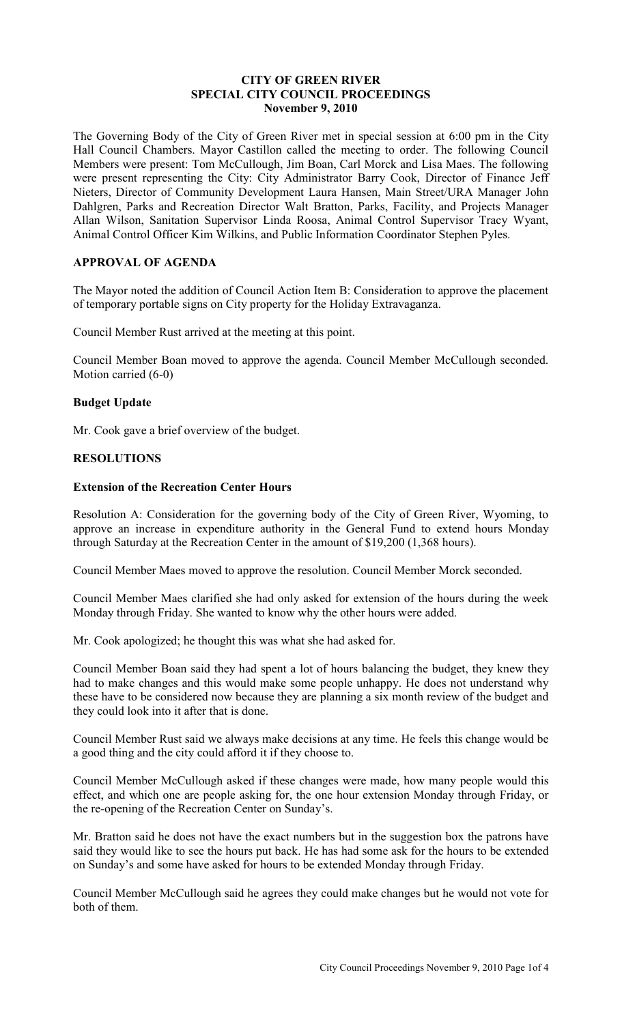#### **CITY OF GREEN RIVER SPECIAL CITY COUNCIL PROCEEDINGS November 9, 2010**

The Governing Body of the City of Green River met in special session at 6:00 pm in the City Hall Council Chambers. Mayor Castillon called the meeting to order. The following Council Members were present: Tom McCullough, Jim Boan, Carl Morck and Lisa Maes. The following were present representing the City: City Administrator Barry Cook, Director of Finance Jeff Nieters, Director of Community Development Laura Hansen, Main Street/URA Manager John Dahlgren, Parks and Recreation Director Walt Bratton, Parks, Facility, and Projects Manager Allan Wilson, Sanitation Supervisor Linda Roosa, Animal Control Supervisor Tracy Wyant, Animal Control Officer Kim Wilkins, and Public Information Coordinator Stephen Pyles.

# **APPROVAL OF AGENDA**

The Mayor noted the addition of Council Action Item B: Consideration to approve the placement of temporary portable signs on City property for the Holiday Extravaganza.

Council Member Rust arrived at the meeting at this point.

Council Member Boan moved to approve the agenda. Council Member McCullough seconded. Motion carried (6-0)

#### **Budget Update**

Mr. Cook gave a brief overview of the budget.

# **RESOLUTIONS**

# **Extension of the Recreation Center Hours**

Resolution A: Consideration for the governing body of the City of Green River, Wyoming, to approve an increase in expenditure authority in the General Fund to extend hours Monday through Saturday at the Recreation Center in the amount of \$19,200 (1,368 hours).

Council Member Maes moved to approve the resolution. Council Member Morck seconded.

Council Member Maes clarified she had only asked for extension of the hours during the week Monday through Friday. She wanted to know why the other hours were added.

Mr. Cook apologized; he thought this was what she had asked for.

Council Member Boan said they had spent a lot of hours balancing the budget, they knew they had to make changes and this would make some people unhappy. He does not understand why these have to be considered now because they are planning a six month review of the budget and they could look into it after that is done.

Council Member Rust said we always make decisions at any time. He feels this change would be a good thing and the city could afford it if they choose to.

Council Member McCullough asked if these changes were made, how many people would this effect, and which one are people asking for, the one hour extension Monday through Friday, or the re-opening of the Recreation Center on Sunday's.

Mr. Bratton said he does not have the exact numbers but in the suggestion box the patrons have said they would like to see the hours put back. He has had some ask for the hours to be extended on Sunday's and some have asked for hours to be extended Monday through Friday.

Council Member McCullough said he agrees they could make changes but he would not vote for both of them.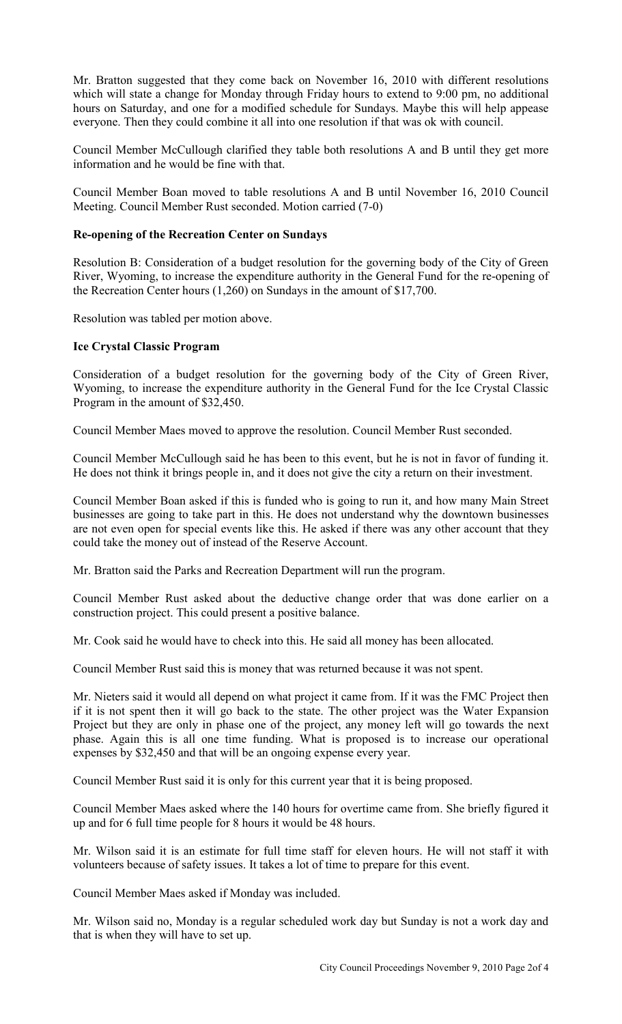Mr. Bratton suggested that they come back on November 16, 2010 with different resolutions which will state a change for Monday through Friday hours to extend to 9:00 pm, no additional hours on Saturday, and one for a modified schedule for Sundays. Maybe this will help appease everyone. Then they could combine it all into one resolution if that was ok with council.

Council Member McCullough clarified they table both resolutions A and B until they get more information and he would be fine with that.

Council Member Boan moved to table resolutions A and B until November 16, 2010 Council Meeting. Council Member Rust seconded. Motion carried (7-0)

### **Re-opening of the Recreation Center on Sundays**

Resolution B: Consideration of a budget resolution for the governing body of the City of Green River, Wyoming, to increase the expenditure authority in the General Fund for the re-opening of the Recreation Center hours (1,260) on Sundays in the amount of \$17,700.

Resolution was tabled per motion above.

# **Ice Crystal Classic Program**

Consideration of a budget resolution for the governing body of the City of Green River, Wyoming, to increase the expenditure authority in the General Fund for the Ice Crystal Classic Program in the amount of \$32,450.

Council Member Maes moved to approve the resolution. Council Member Rust seconded.

Council Member McCullough said he has been to this event, but he is not in favor of funding it. He does not think it brings people in, and it does not give the city a return on their investment.

Council Member Boan asked if this is funded who is going to run it, and how many Main Street businesses are going to take part in this. He does not understand why the downtown businesses are not even open for special events like this. He asked if there was any other account that they could take the money out of instead of the Reserve Account.

Mr. Bratton said the Parks and Recreation Department will run the program.

Council Member Rust asked about the deductive change order that was done earlier on a construction project. This could present a positive balance.

Mr. Cook said he would have to check into this. He said all money has been allocated.

Council Member Rust said this is money that was returned because it was not spent.

Mr. Nieters said it would all depend on what project it came from. If it was the FMC Project then if it is not spent then it will go back to the state. The other project was the Water Expansion Project but they are only in phase one of the project, any money left will go towards the next phase. Again this is all one time funding. What is proposed is to increase our operational expenses by \$32,450 and that will be an ongoing expense every year.

Council Member Rust said it is only for this current year that it is being proposed.

Council Member Maes asked where the 140 hours for overtime came from. She briefly figured it up and for 6 full time people for 8 hours it would be 48 hours.

Mr. Wilson said it is an estimate for full time staff for eleven hours. He will not staff it with volunteers because of safety issues. It takes a lot of time to prepare for this event.

Council Member Maes asked if Monday was included.

Mr. Wilson said no, Monday is a regular scheduled work day but Sunday is not a work day and that is when they will have to set up.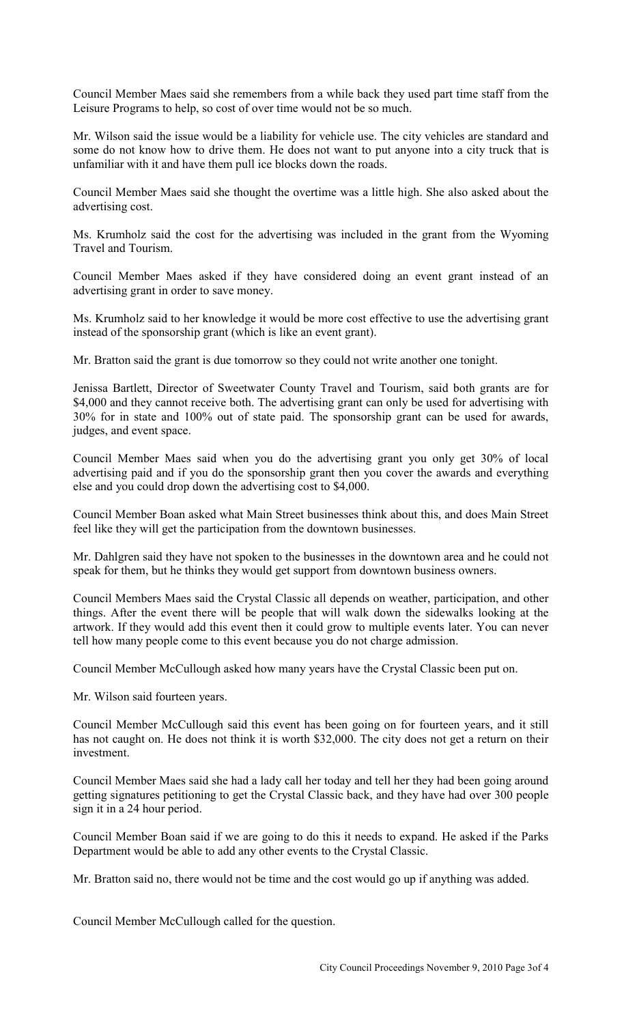Council Member Maes said she remembers from a while back they used part time staff from the Leisure Programs to help, so cost of over time would not be so much.

Mr. Wilson said the issue would be a liability for vehicle use. The city vehicles are standard and some do not know how to drive them. He does not want to put anyone into a city truck that is unfamiliar with it and have them pull ice blocks down the roads.

Council Member Maes said she thought the overtime was a little high. She also asked about the advertising cost.

Ms. Krumholz said the cost for the advertising was included in the grant from the Wyoming Travel and Tourism.

Council Member Maes asked if they have considered doing an event grant instead of an advertising grant in order to save money.

Ms. Krumholz said to her knowledge it would be more cost effective to use the advertising grant instead of the sponsorship grant (which is like an event grant).

Mr. Bratton said the grant is due tomorrow so they could not write another one tonight.

Jenissa Bartlett, Director of Sweetwater County Travel and Tourism, said both grants are for \$4,000 and they cannot receive both. The advertising grant can only be used for advertising with 30% for in state and 100% out of state paid. The sponsorship grant can be used for awards, judges, and event space.

Council Member Maes said when you do the advertising grant you only get 30% of local advertising paid and if you do the sponsorship grant then you cover the awards and everything else and you could drop down the advertising cost to \$4,000.

Council Member Boan asked what Main Street businesses think about this, and does Main Street feel like they will get the participation from the downtown businesses.

Mr. Dahlgren said they have not spoken to the businesses in the downtown area and he could not speak for them, but he thinks they would get support from downtown business owners.

Council Members Maes said the Crystal Classic all depends on weather, participation, and other things. After the event there will be people that will walk down the sidewalks looking at the artwork. If they would add this event then it could grow to multiple events later. You can never tell how many people come to this event because you do not charge admission.

Council Member McCullough asked how many years have the Crystal Classic been put on.

Mr. Wilson said fourteen years.

Council Member McCullough said this event has been going on for fourteen years, and it still has not caught on. He does not think it is worth \$32,000. The city does not get a return on their investment.

Council Member Maes said she had a lady call her today and tell her they had been going around getting signatures petitioning to get the Crystal Classic back, and they have had over 300 people sign it in a 24 hour period.

Council Member Boan said if we are going to do this it needs to expand. He asked if the Parks Department would be able to add any other events to the Crystal Classic.

Mr. Bratton said no, there would not be time and the cost would go up if anything was added.

Council Member McCullough called for the question.